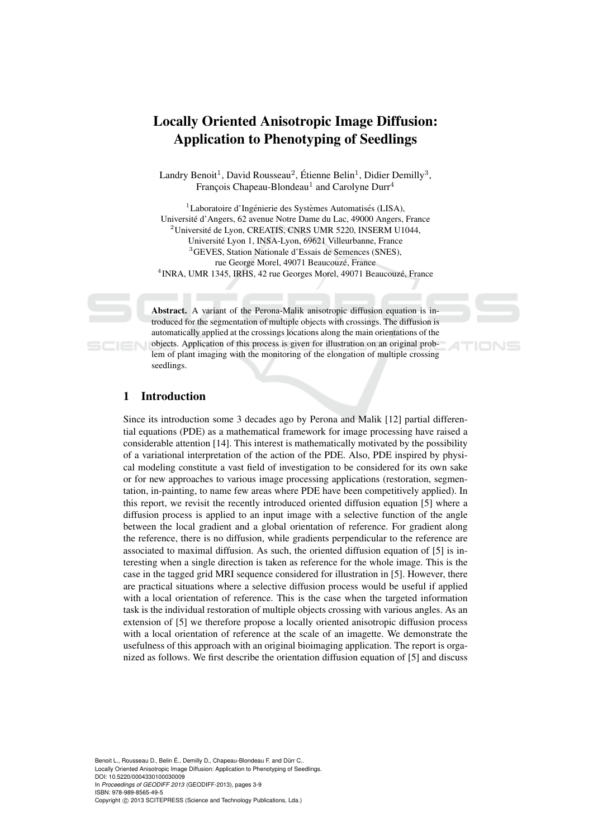# Locally Oriented Anisotropic Image Diffusion: Application to Phenotyping of Seedlings

Landry Benoit<sup>1</sup>, David Rousseau<sup>2</sup>, Étienne Belin<sup>1</sup>, Didier Demilly<sup>3</sup>, François Chapeau-Blondeau<sup>1</sup> and Carolyne Durr<sup>4</sup>

 $1$ Laboratoire d'Ingénierie des Systèmes Automatisés (LISA), Universite d'Angers, 62 avenue Notre Dame du Lac, 49000 Angers, France ´  $2^2$ Université de Lyon, CREATIS, CNRS UMR 5220, INSERM U1044, Universite Lyon 1, INSA-Lyon, 69621 Villeurbanne, France ´ <sup>3</sup>GEVES, Station Nationale d'Essais de Semences (SNES), rue George Morel, 49071 Beaucouzé, France <sup>4</sup> INRA, UMR 1345, IRHS, 42 rue Georges Morel, 49071 Beaucouzé, France

Abstract. A variant of the Perona-Malik anisotropic diffusion equation is introduced for the segmentation of multiple objects with crossings. The diffusion is automatically applied at the crossings locations along the main orientations of the objects. Application of this process is given for illustration on an original problem of plant imaging with the monitoring of the elongation of multiple crossing seedlings.

# 1 Introduction

Since its introduction some 3 decades ago by Perona and Malik [12] partial differential equations (PDE) as a mathematical framework for image processing have raised a considerable attention [14]. This interest is mathematically motivated by the possibility of a variational interpretation of the action of the PDE. Also, PDE inspired by physical modeling constitute a vast field of investigation to be considered for its own sake or for new approaches to various image processing applications (restoration, segmentation, in-painting, to name few areas where PDE have been competitively applied). In this report, we revisit the recently introduced oriented diffusion equation [5] where a diffusion process is applied to an input image with a selective function of the angle between the local gradient and a global orientation of reference. For gradient along the reference, there is no diffusion, while gradients perpendicular to the reference are associated to maximal diffusion. As such, the oriented diffusion equation of [5] is interesting when a single direction is taken as reference for the whole image. This is the case in the tagged grid MRI sequence considered for illustration in [5]. However, there are practical situations where a selective diffusion process would be useful if applied with a local orientation of reference. This is the case when the targeted information task is the individual restoration of multiple objects crossing with various angles. As an extension of [5] we therefore propose a locally oriented anisotropic diffusion process with a local orientation of reference at the scale of an imagette. We demonstrate the usefulness of this approach with an original bioimaging application. The report is organized as follows. We first describe the orientation diffusion equation of [5] and discuss

Benoit L., Rousseau D., Belin É., Demilly D., Chapeau-Blondeau F. and Dürr C.. Locally Oriented Anisotropic Image Diffusion: Application to Phenotyping of Seedlings. DOI: 10.5220/0004330100030009 In *Proceedings of GEODIFF 2013* (GEODIFF-2013), pages 3-9 ISBN: 978-989-8565-49-5 Copyright © 2013 SCITEPRESS (Science and Technology Publications, Lda.)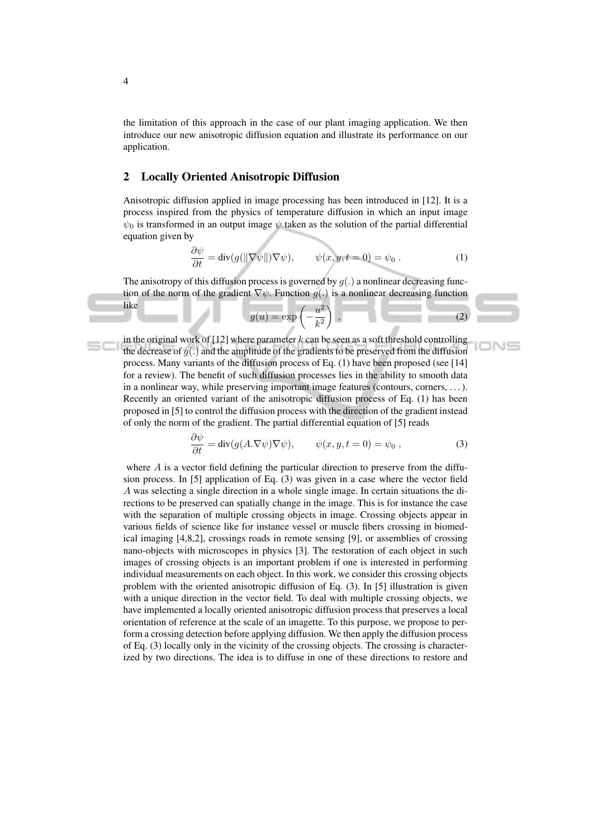the limitation of this approach in the case of our plant imaging application. We then introduce our new anisotropic diffusion equation and illustrate its performance on our application.

## 2 Locally Oriented Anisotropic Diffusion

Anisotropic diffusion applied in image processing has been introduced in [12]. It is a process inspired from the physics of temperature diffusion in which an input image  $\psi_0$  is transformed in an output image  $\psi$  taken as the solution of the partial differential equation given by

$$
\frac{\partial \psi}{\partial t} = \text{div}(g(||\nabla \psi||)\nabla \psi), \qquad \psi(x, y, t = 0) = \psi_0.
$$
 (1)

The anisotropy of this diffusion process is governed by  $g(.)$  a nonlinear decreasing function of the norm of the gradient  $\nabla \psi$ . Function  $q(.)$  is a nonlinear decreasing function like 2

$$
g(u) = \exp\left(-\frac{u^2}{k^2}\right) , \qquad (2)
$$

in the original work of  $[12]$  where parameter k can be seen as a soft threshold controlling the decrease of  $g(.)$  and the amplitude of the gradients to be preserved from the diffusion process. Many variants of the diffusion process of Eq. (1) have been proposed (see [14] for a review). The benefit of such diffusion processes lies in the ability to smooth data in a nonlinear way, while preserving important image features (contours, corners, . . . ). Recently an oriented variant of the anisotropic diffusion process of Eq. (1) has been proposed in [5] to control the diffusion process with the direction of the gradient instead of only the norm of the gradient. The partial differential equation of [5] reads

$$
\frac{\partial \psi}{\partial t} = \text{div}(g(A.\nabla \psi)\nabla \psi), \qquad \psi(x, y, t = 0) = \psi_0,
$$
\n(3)

where A is a vector field defining the particular direction to preserve from the diffusion process. In [5] application of Eq. (3) was given in a case where the vector field A was selecting a single direction in a whole single image. In certain situations the directions to be preserved can spatially change in the image. This is for instance the case with the separation of multiple crossing objects in image. Crossing objects appear in various fields of science like for instance vessel or muscle fibers crossing in biomedical imaging [4,8,2], crossings roads in remote sensing [9], or assemblies of crossing nano-objects with microscopes in physics [3]. The restoration of each object in such images of crossing objects is an important problem if one is interested in performing individual measurements on each object. In this work, we consider this crossing objects problem with the oriented anisotropic diffusion of Eq. (3). In [5] illustration is given with a unique direction in the vector field. To deal with multiple crossing objects, we have implemented a locally oriented anisotropic diffusion process that preserves a local orientation of reference at the scale of an imagette. To this purpose, we propose to perform a crossing detection before applying diffusion. We then apply the diffusion process of Eq. (3) locally only in the vicinity of the crossing objects. The crossing is characterized by two directions. The idea is to diffuse in one of these directions to restore and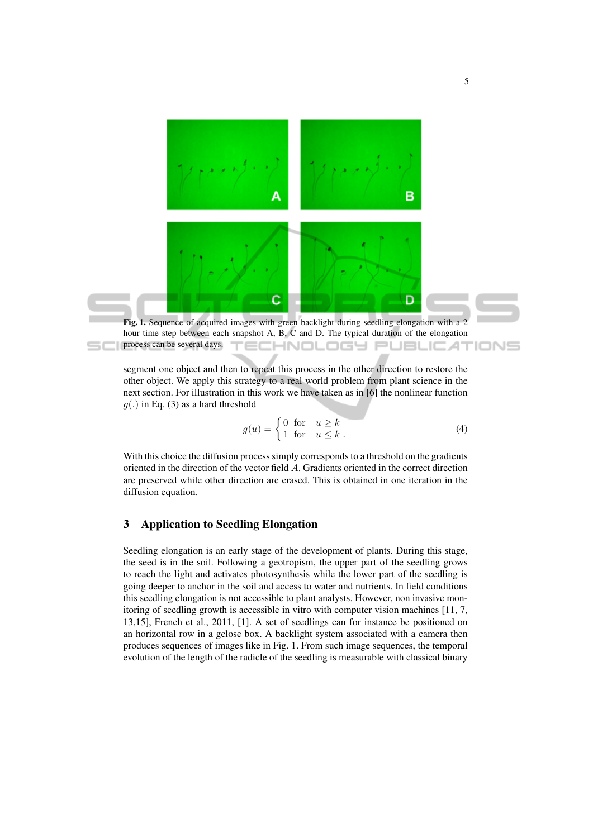

segment one object and then to repeat this process in the other direction to restore the other object. We apply this strategy to a real world problem from plant science in the next section. For illustration in this work we have taken as in [6] the nonlinear function  $g(.)$  in Eq. (3) as a hard threshold

$$
g(u) = \begin{cases} 0 & \text{for } u \ge k \\ 1 & \text{for } u \le k \end{cases}
$$
 (4)

With this choice the diffusion process simply corresponds to a threshold on the gradients oriented in the direction of the vector field A. Gradients oriented in the correct direction are preserved while other direction are erased. This is obtained in one iteration in the diffusion equation.

#### 3 Application to Seedling Elongation

Seedling elongation is an early stage of the development of plants. During this stage, the seed is in the soil. Following a geotropism, the upper part of the seedling grows to reach the light and activates photosynthesis while the lower part of the seedling is going deeper to anchor in the soil and access to water and nutrients. In field conditions this seedling elongation is not accessible to plant analysts. However, non invasive monitoring of seedling growth is accessible in vitro with computer vision machines [11, 7, 13,15], French et al., 2011, [1]. A set of seedlings can for instance be positioned on an horizontal row in a gelose box. A backlight system associated with a camera then produces sequences of images like in Fig. 1. From such image sequences, the temporal evolution of the length of the radicle of the seedling is measurable with classical binary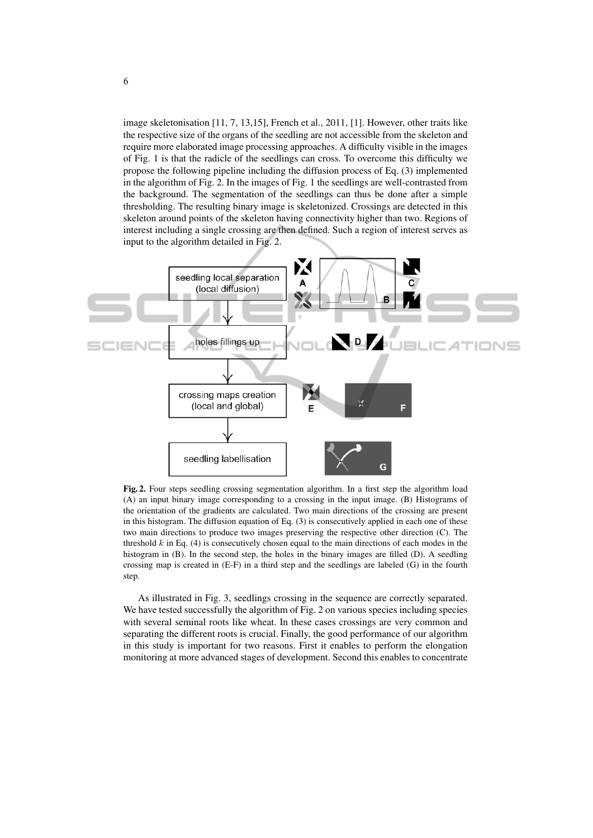image skeletonisation [11, 7, 13,15], French et al., 2011, [1]. However, other traits like the respective size of the organs of the seedling are not accessible from the skeleton and require more elaborated image processing approaches. A difficulty visible in the images of Fig. 1 is that the radicle of the seedlings can cross. To overcome this difficulty we propose the following pipeline including the diffusion process of Eq. (3) implemented in the algorithm of Fig. 2. In the images of Fig. 1 the seedlings are well-contrasted from the background. The segmentation of the seedlings can thus be done after a simple thresholding. The resulting binary image is skeletonized. Crossings are detected in this skeleton around points of the skeleton having connectivity higher than two. Regions of interest including a single crossing are then defined. Such a region of interest serves as input to the algorithm detailed in Fig. 2.



Fig. 2. Four steps seedling crossing segmentation algorithm. In a first step the algorithm load (A) an input binary image corresponding to a crossing in the input image. (B) Histograms of the orientation of the gradients are calculated. Two main directions of the crossing are present in this histogram. The diffusion equation of Eq.  $(3)$  is consecutively applied in each one of these two main directions to produce two images preserving the respective other direction (C). The threshold  $k$  in Eq. (4) is consecutively chosen equal to the main directions of each modes in the histogram in (B). In the second step, the holes in the binary images are filled (D). A seedling crossing map is created in (E-F) in a third step and the seedlings are labeled (G) in the fourth step.

As illustrated in Fig. 3, seedlings crossing in the sequence are correctly separated. We have tested successfully the algorithm of Fig. 2 on various species including species with several seminal roots like wheat. In these cases crossings are very common and separating the different roots is crucial. Finally, the good performance of our algorithm in this study is important for two reasons. First it enables to perform the elongation monitoring at more advanced stages of development. Second this enables to concentrate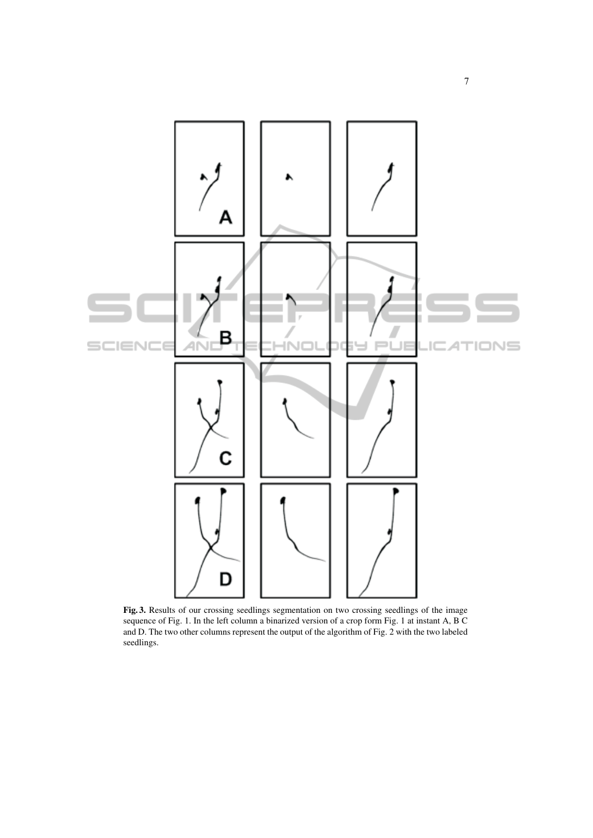

Fig. 3. Results of our crossing seedlings segmentation on two crossing seedlings of the image sequence of Fig. 1. In the left column a binarized version of a crop form Fig. 1 at instant A, B C and D. The two other columns represent the output of the algorithm of Fig. 2 with the two labeled seedlings.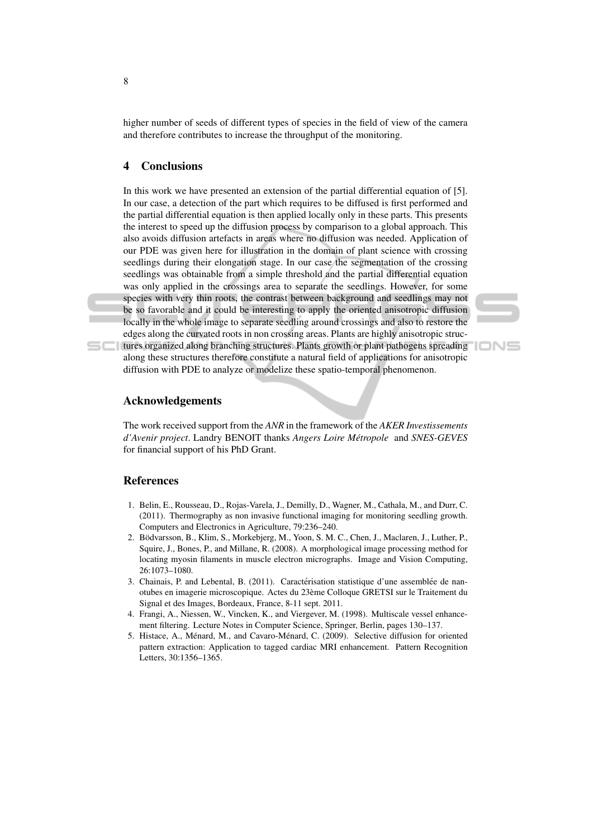higher number of seeds of different types of species in the field of view of the camera and therefore contributes to increase the throughput of the monitoring.

# 4 Conclusions

In this work we have presented an extension of the partial differential equation of [5]. In our case, a detection of the part which requires to be diffused is first performed and the partial differential equation is then applied locally only in these parts. This presents the interest to speed up the diffusion process by comparison to a global approach. This also avoids diffusion artefacts in areas where no diffusion was needed. Application of our PDE was given here for illustration in the domain of plant science with crossing seedlings during their elongation stage. In our case the segmentation of the crossing seedlings was obtainable from a simple threshold and the partial differential equation was only applied in the crossings area to separate the seedlings. However, for some species with very thin roots, the contrast between background and seedlings may not be so favorable and it could be interesting to apply the oriented anisotropic diffusion locally in the whole image to separate seedling around crossings and also to restore the edges along the curvated roots in non crossing areas. Plants are highly anisotropic structures organized along branching structures. Plants growth or plant pathogens spreading along these structures therefore constitute a natural field of applications for anisotropic



IONS

# Acknowledgements

The work received support from the *ANR* in the framework of the *AKER Investissements d'Avenir project*. Landry BENOIT thanks *Angers Loire Metropole ´* and *SNES-GEVES* for financial support of his PhD Grant.

diffusion with PDE to analyze or modelize these spatio-temporal phenomenon.

## References

- 1. Belin, E., Rousseau, D., Rojas-Varela, J., Demilly, D., Wagner, M., Cathala, M., and Durr, C. (2011). Thermography as non invasive functional imaging for monitoring seedling growth. Computers and Electronics in Agriculture, 79:236–240.
- 2. Bödvarsson, B., Klim, S., Morkebjerg, M., Yoon, S. M. C., Chen, J., Maclaren, J., Luther, P., Squire, J., Bones, P., and Millane, R. (2008). A morphological image processing method for locating myosin filaments in muscle electron micrographs. Image and Vision Computing, 26:1073–1080.
- 3. Chainais, P. and Lebental, B. (2011). Caractérisation statistique d'une assemblée de nanotubes en imagerie microscopique. Actes du 23eme Colloque GRETSI sur le Traitement du ` Signal et des Images, Bordeaux, France, 8-11 sept. 2011.
- 4. Frangi, A., Niessen, W., Vincken, K., and Viergever, M. (1998). Multiscale vessel enhancement filtering. Lecture Notes in Computer Science, Springer, Berlin, pages 130–137.
- 5. Histace, A., Ménard, M., and Cavaro-Ménard, C. (2009). Selective diffusion for oriented pattern extraction: Application to tagged cardiac MRI enhancement. Pattern Recognition Letters, 30:1356–1365.